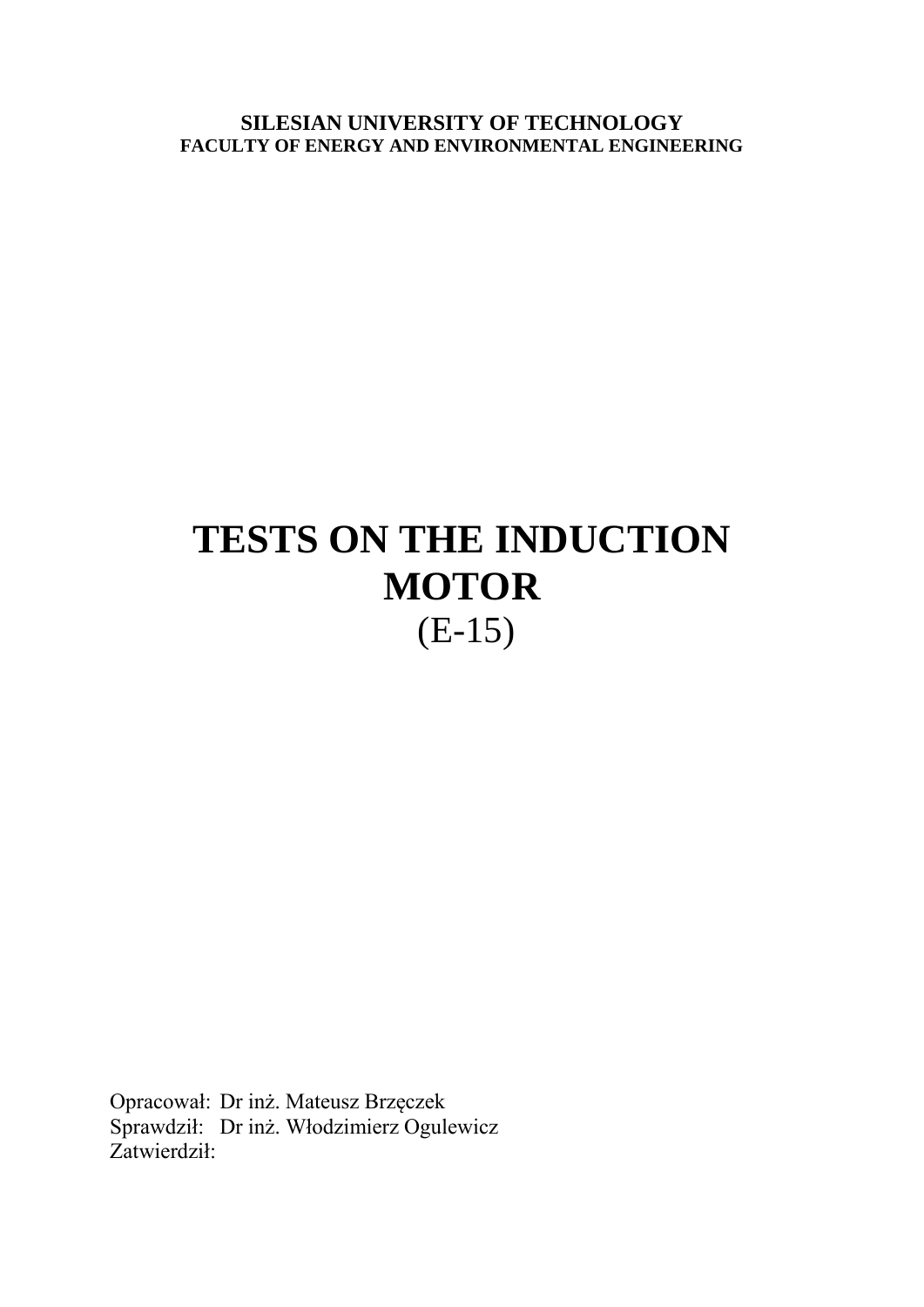**SILESIAN UNIVERSITY OF TECHNOLOGY FACULTY OF ENERGY AND ENVIRONMENTAL ENGINEERING**

# **TESTS ON THE INDUCTION MOTOR** (E-15)

Opracował: Dr inż. Mateusz Brzęczek Sprawdził: Dr inż. Włodzimierz Ogulewicz Zatwierdził: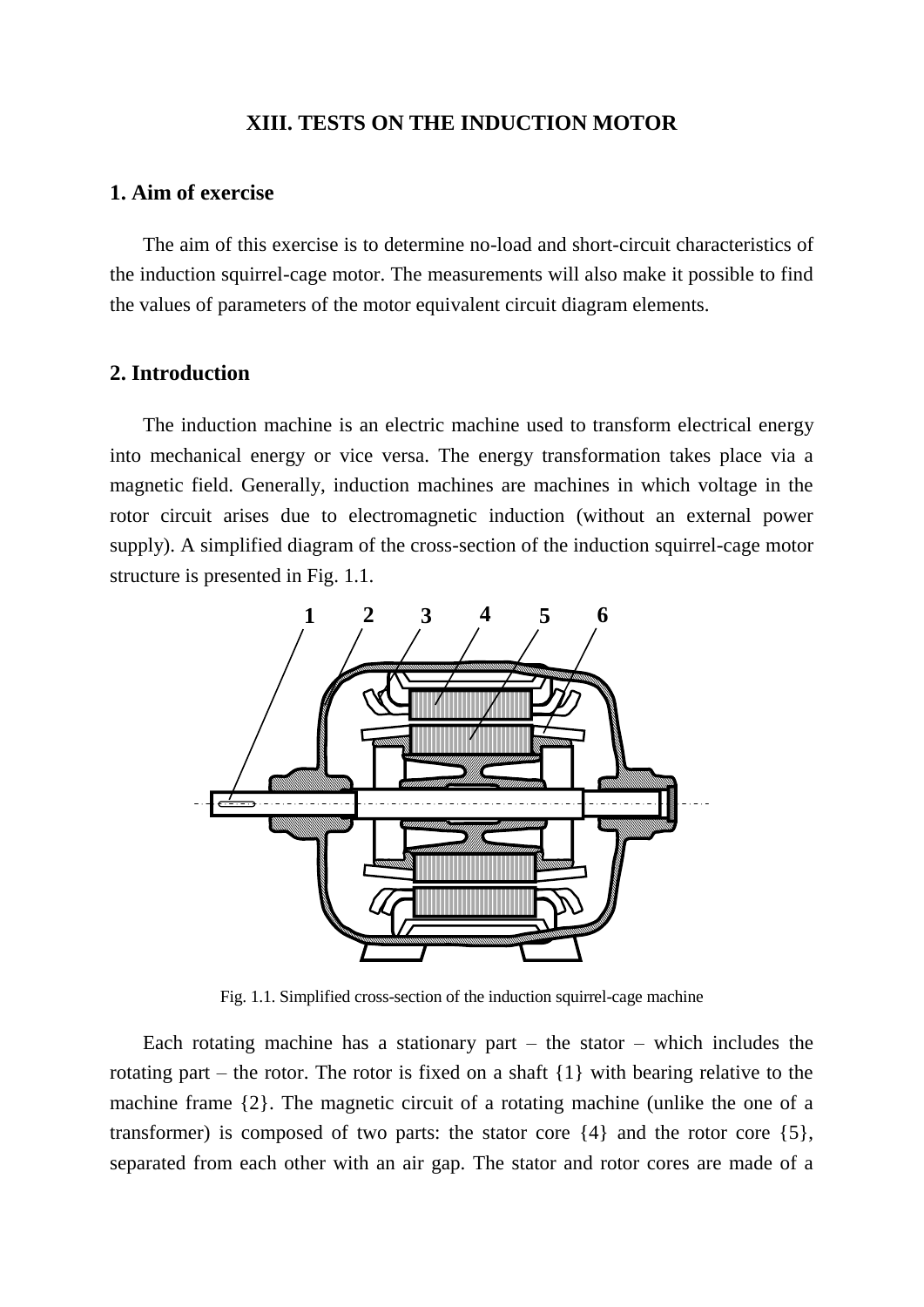## **XIII. TESTS ON THE INDUCTION MOTOR**

## **1. Aim of exercise**

The aim of this exercise is to determine no-load and short-circuit characteristics of the induction squirrel-cage motor. The measurements will also make it possible to find the values of parameters of the motor equivalent circuit diagram elements.

## **2. Introduction**

The induction machine is an electric machine used to transform electrical energy into mechanical energy or vice versa. The energy transformation takes place via a magnetic field. Generally, induction machines are machines in which voltage in the rotor circuit arises due to electromagnetic induction (without an external power supply). A simplified diagram of the cross-section of the induction squirrel-cage motor structure is presented in Fig. 1.1.



Fig. 1.1. Simplified cross-section of the induction squirrel-cage machine

Each rotating machine has a stationary part – the stator – which includes the rotating part – the rotor. The rotor is fixed on a shaft {1} with bearing relative to the machine frame {2}. The magnetic circuit of a rotating machine (unlike the one of a transformer) is composed of two parts: the stator core {4} and the rotor core {5}, separated from each other with an air gap. The stator and rotor cores are made of a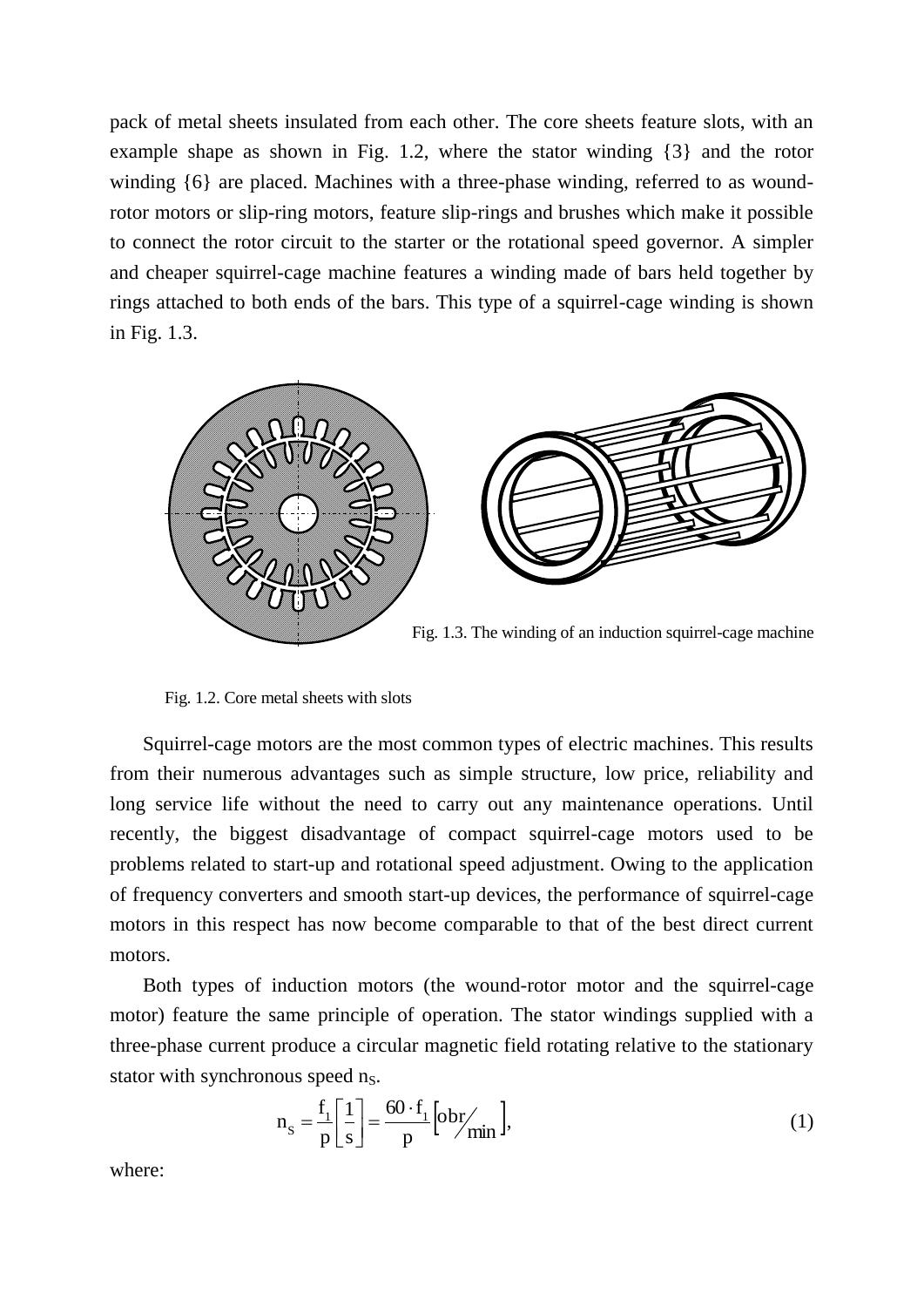pack of metal sheets insulated from each other. The core sheets feature slots, with an example shape as shown in Fig. 1.2, where the stator winding {3} and the rotor winding {6} are placed. Machines with a three-phase winding, referred to as woundrotor motors or slip-ring motors, feature slip-rings and brushes which make it possible to connect the rotor circuit to the starter or the rotational speed governor. A simpler and cheaper squirrel-cage machine features a winding made of bars held together by rings attached to both ends of the bars. This type of a squirrel-cage winding is shown in Fig. 1.3.



Fig. 1.2. Core metal sheets with slots

Squirrel-cage motors are the most common types of electric machines. This results from their numerous advantages such as simple structure, low price, reliability and long service life without the need to carry out any maintenance operations. Until recently, the biggest disadvantage of compact squirrel-cage motors used to be problems related to start-up and rotational speed adjustment. Owing to the application of frequency converters and smooth start-up devices, the performance of squirrel-cage motors in this respect has now become comparable to that of the best direct current motors.

Both types of induction motors (the wound-rotor motor and the squirrel-cage motor) feature the same principle of operation. The stator windings supplied with a three-phase current produce a circular magnetic field rotating relative to the stationary stator with synchronous speed  $n<sub>S</sub>$ .

$$
n_{\rm s} = \frac{f_1}{p} \left[ \frac{1}{s} \right] = \frac{60 \cdot f_1}{p} \left[ \frac{obr}{\min} \right],\tag{1}
$$

where: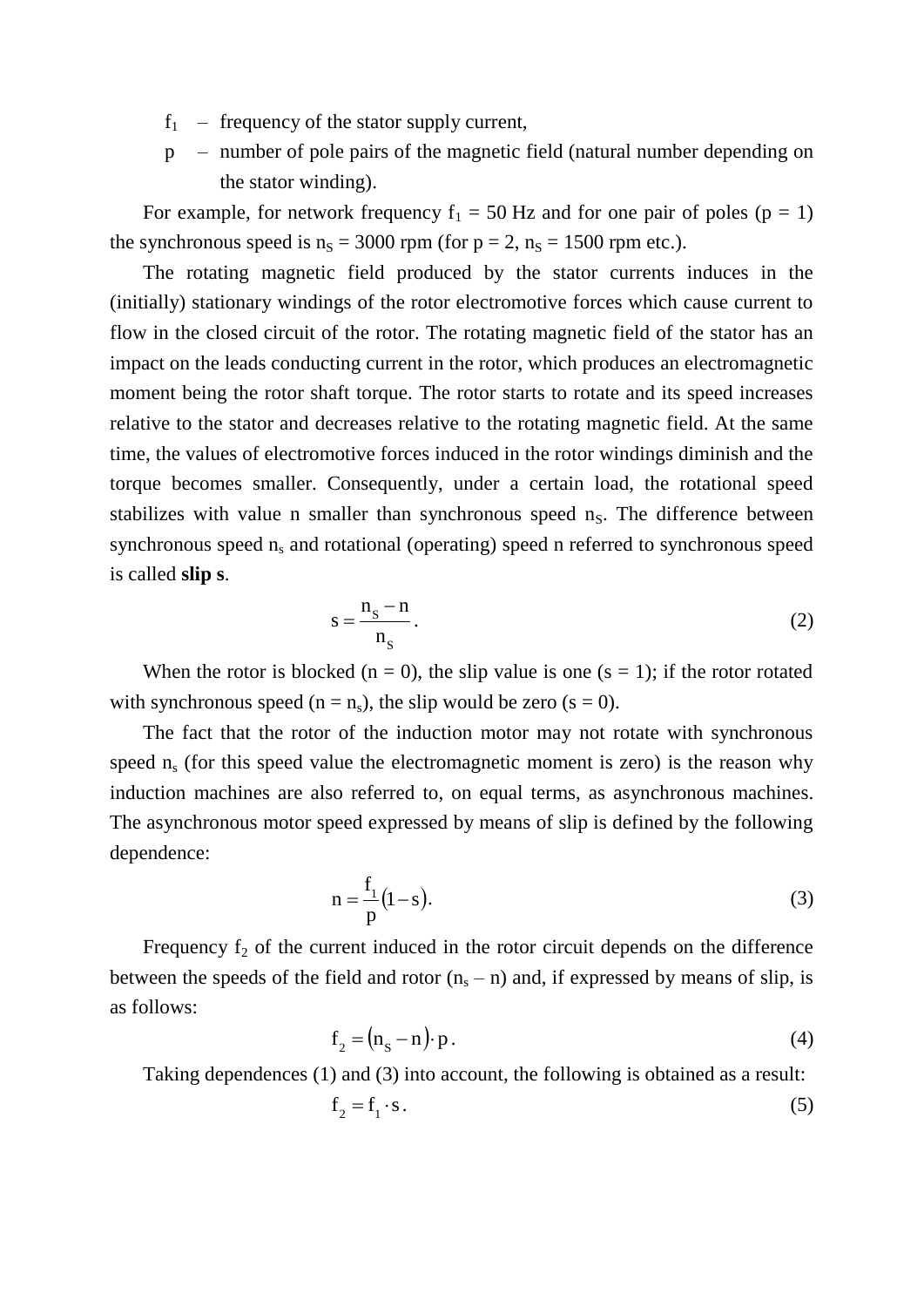- $f_1$  frequency of the stator supply current,
- p number of pole pairs of the magnetic field (natural number depending on the stator winding).

For example, for network frequency  $f_1 = 50$  Hz and for one pair of poles ( $p = 1$ ) the synchronous speed is  $n<sub>S</sub> = 3000$  rpm (for  $p = 2$ ,  $n<sub>S</sub> = 1500$  rpm etc.).

The rotating magnetic field produced by the stator currents induces in the (initially) stationary windings of the rotor electromotive forces which cause current to flow in the closed circuit of the rotor. The rotating magnetic field of the stator has an impact on the leads conducting current in the rotor, which produces an electromagnetic moment being the rotor shaft torque. The rotor starts to rotate and its speed increases relative to the stator and decreases relative to the rotating magnetic field. At the same time, the values of electromotive forces induced in the rotor windings diminish and the torque becomes smaller. Consequently, under a certain load, the rotational speed stabilizes with value n smaller than synchronous speed  $n<sub>s</sub>$ . The difference between synchronous speed  $n_s$  and rotational (operating) speed n referred to synchronous speed is called **slip s**.

$$
s = \frac{n_s - n}{n_s}.
$$
 (2)

When the rotor is blocked ( $n = 0$ ), the slip value is one ( $s = 1$ ); if the rotor rotated with synchronous speed ( $n = n_s$ ), the slip would be zero ( $s = 0$ ).

The fact that the rotor of the induction motor may not rotate with synchronous speed  $n_s$  (for this speed value the electromagnetic moment is zero) is the reason why induction machines are also referred to, on equal terms, as asynchronous machines. The asynchronous motor speed expressed by means of slip is defined by the following dependence:

$$
n = \frac{f_1}{p}(1-s).
$$
 (3)

Frequency  $f_2$  of the current induced in the rotor circuit depends on the difference between the speeds of the field and rotor  $(n_s - n)$  and, if expressed by means of slip, is as follows:

$$
f_2 = (n_S - n) \cdot p. \tag{4}
$$

Taking dependences (1) and (3) into account, the following is obtained as a result:

$$
f_2 = f_1 \cdot s. \tag{5}
$$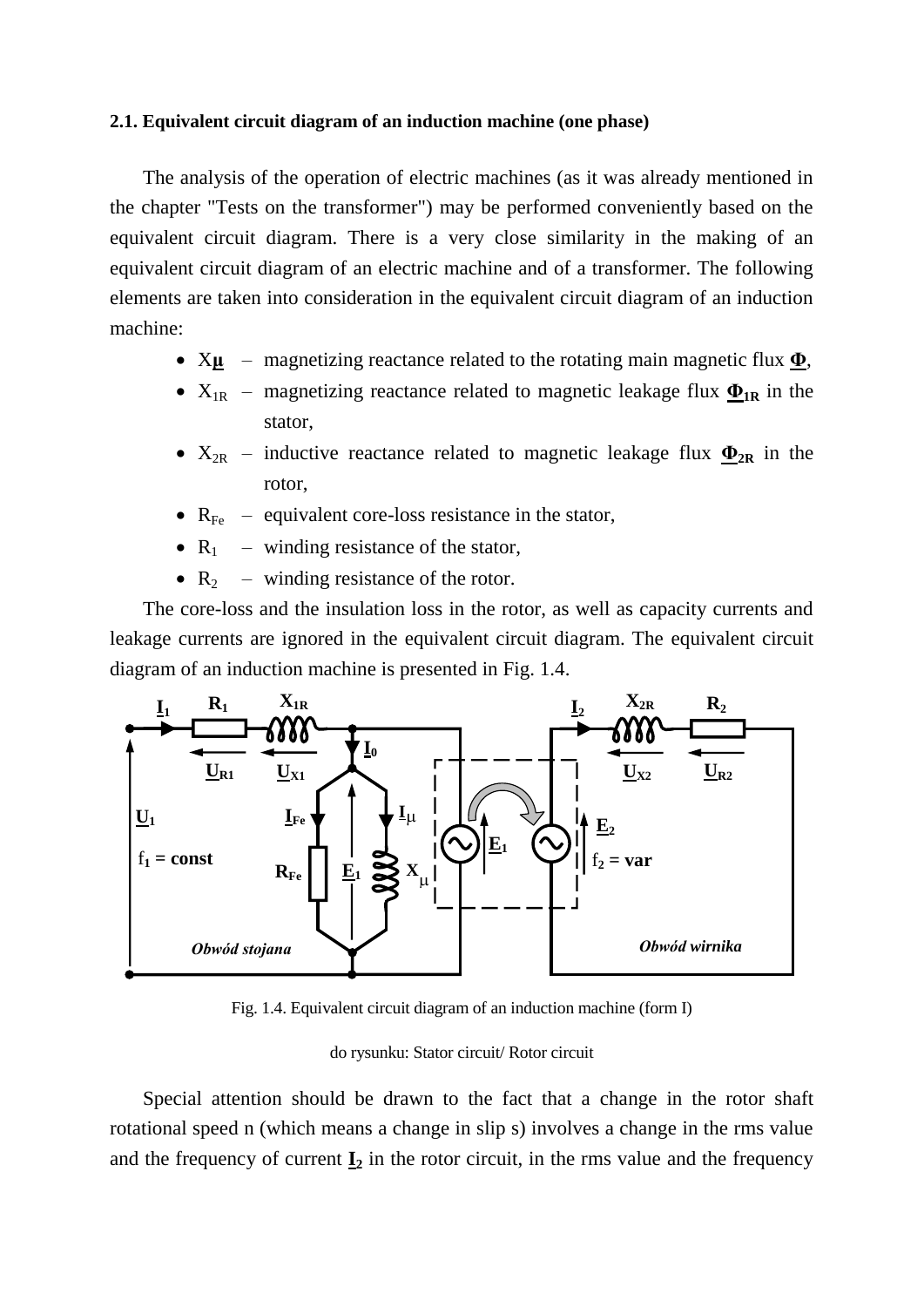## **2.1. Equivalent circuit diagram of an induction machine (one phase)**

The analysis of the operation of electric machines (as it was already mentioned in the chapter "Tests on the transformer") may be performed conveniently based on the equivalent circuit diagram. There is a very close similarity in the making of an equivalent circuit diagram of an electric machine and of a transformer. The following elements are taken into consideration in the equivalent circuit diagram of an induction machine:

- X**μ** magnetizing reactance related to the rotating main magnetic flux **Φ**,
- $X_{1R}$  magnetizing reactance related to magnetic leakage flux  $\Phi_{1R}$  in the stator,
- $X_{2R}$  inductive reactance related to magnetic leakage flux  $\Phi_{2R}$  in the rotor,
- $R_{Fe}$  equivalent core-loss resistance in the stator,
- $R_1$  winding resistance of the stator,
- $R_2$  winding resistance of the rotor.

The core-loss and the insulation loss in the rotor, as well as capacity currents and leakage currents are ignored in the equivalent circuit diagram. The equivalent circuit diagram of an induction machine is presented in Fig. 1.4.



Fig. 1.4. Equivalent circuit diagram of an induction machine (form I)

#### do rysunku: Stator circuit/ Rotor circuit

Special attention should be drawn to the fact that a change in the rotor shaft rotational speed n (which means a change in slip s) involves a change in the rms value and the frequency of current  $I_2$  in the rotor circuit, in the rms value and the frequency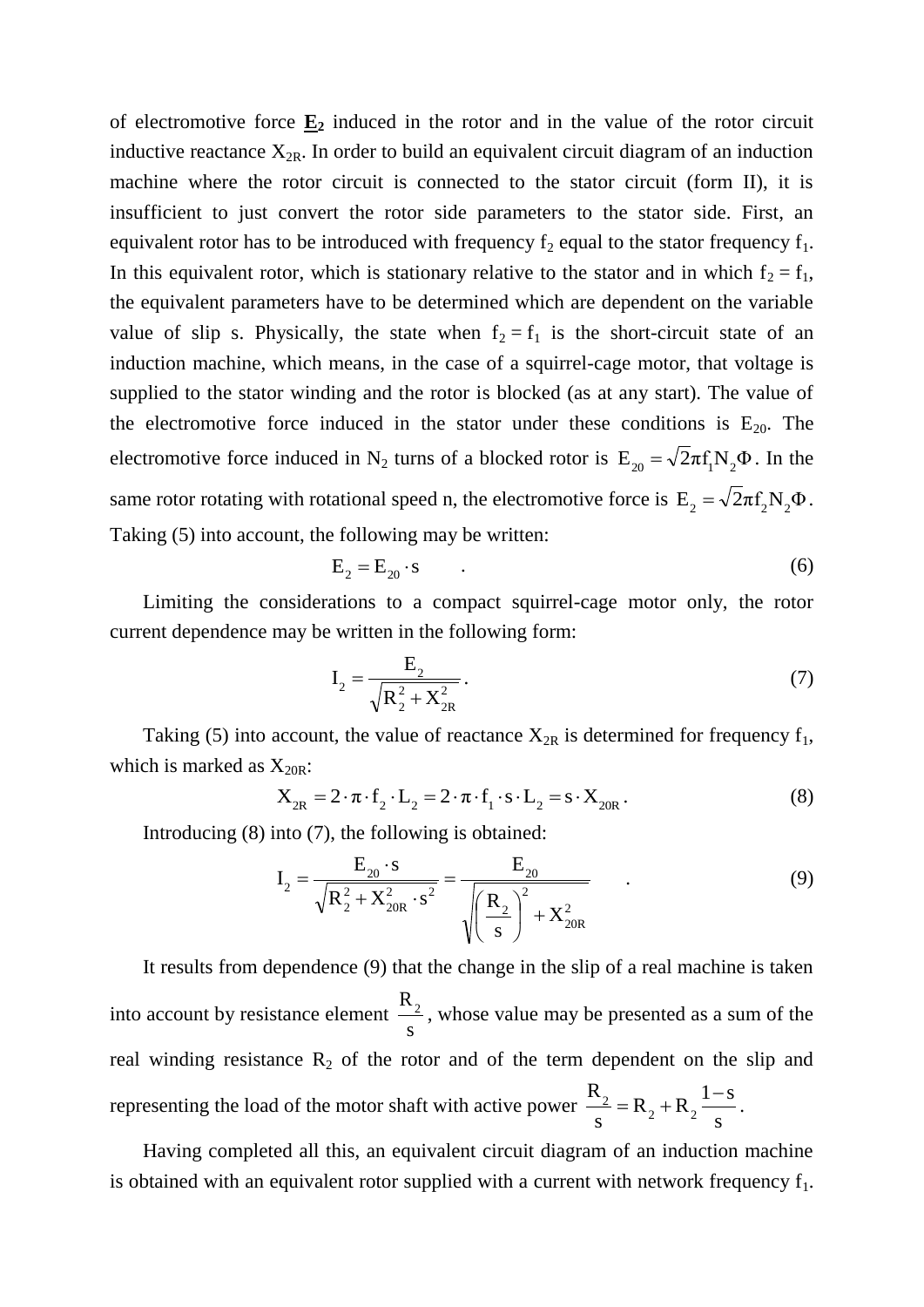of electromotive force  $\underline{\mathbf{E}}_2$  induced in the rotor and in the value of the rotor circuit inductive reactance  $X_{2R}$ . In order to build an equivalent circuit diagram of an induction machine where the rotor circuit is connected to the stator circuit (form II), it is insufficient to just convert the rotor side parameters to the stator side. First, an equivalent rotor has to be introduced with frequency  $f_2$  equal to the stator frequency  $f_1$ . In this equivalent rotor, which is stationary relative to the stator and in which  $f_2 = f_1$ , the equivalent parameters have to be determined which are dependent on the variable value of slip s. Physically, the state when  $f_2 = f_1$  is the short-circuit state of an induction machine, which means, in the case of a squirrel-cage motor, that voltage is supplied to the stator winding and the rotor is blocked (as at any start). The value of the electromotive force induced in the stator under these conditions is  $E_{20}$ . The electromotive force induced in N<sub>2</sub> turns of a blocked rotor is  $E_{20} = \sqrt{2\pi}f_1 N_2 \Phi$ . In the same rotor rotating with rotational speed n, the electromotive force is  $E_2 = \sqrt{2\pi}f_2N_2\Phi$ . Taking (5) into account, the following may be written:

$$
E_2 = E_{20} \cdot s \tag{6}
$$

Limiting the considerations to a compact squirrel-cage motor only, the rotor current dependence may be written in the following form:

$$
I_2 = \frac{E_2}{\sqrt{R_2^2 + X_{2R}^2}}.
$$
\n(7)

Taking (5) into account, the value of reactance  $X_{2R}$  is determined for frequency  $f_1$ , which is marked as  $X_{20R}$ :

$$
X_{2R} = 2 \cdot \pi \cdot f_2 \cdot L_2 = 2 \cdot \pi \cdot f_1 \cdot s \cdot L_2 = s \cdot X_{20R}.
$$
 (8)

Introducing (8) into (7), the following is obtained:

$$
I_2 = \frac{E_{20} \cdot s}{\sqrt{R_2^2 + X_{20R}^2 \cdot s^2}} = \frac{E_{20}}{\sqrt{\left(\frac{R_2}{s}\right)^2 + X_{20R}^2}}
$$
(9)

It results from dependence (9) that the change in the slip of a real machine is taken into account by resistance element s  $R_2$ , whose value may be presented as a sum of the real winding resistance  $R_2$  of the rotor and of the term dependent on the slip and representing the load of the motor shaft with active power s  $1 - s$  $R_2 + R$ s R  $2 \tcdot \tcdot 2$  $2 = R_2 + R_2 \frac{1-s}{s}$ .

Having completed all this, an equivalent circuit diagram of an induction machine is obtained with an equivalent rotor supplied with a current with network frequency  $f_1$ .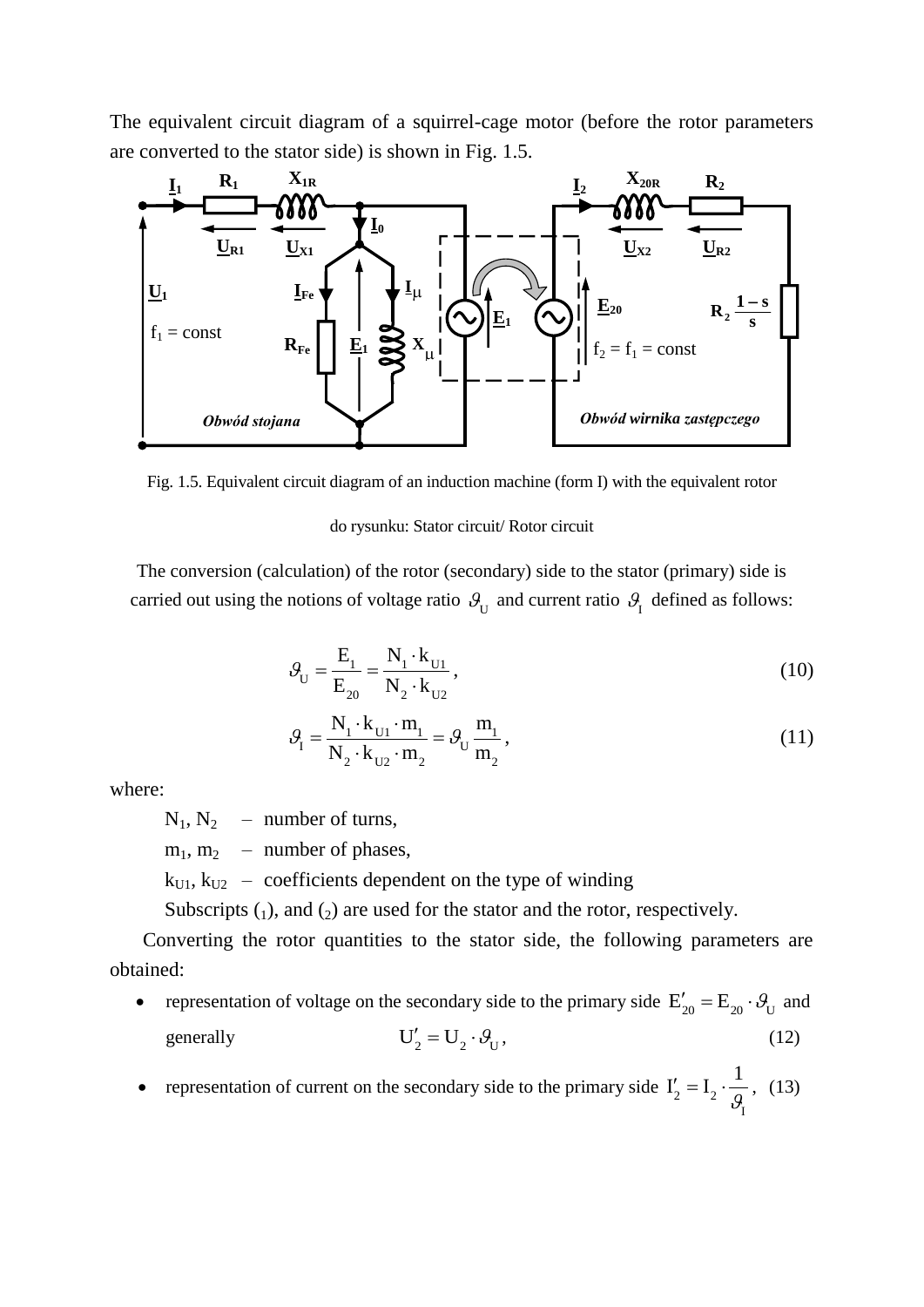The equivalent circuit diagram of a squirrel-cage motor (before the rotor parameters are converted to the stator side) is shown in Fig. 1.5.



Fig. 1.5. Equivalent circuit diagram of an induction machine (form I) with the equivalent rotor

#### do rysunku: Stator circuit/ Rotor circuit

The conversion (calculation) of the rotor (secondary) side to the stator (primary) side is carried out using the notions of voltage ratio  $\mathcal{G}_{U}$  and current ratio  $\mathcal{G}_{I}$  defined as follows:

$$
\mathcal{G}_{U} = \frac{E_{1}}{E_{20}} = \frac{N_{1} \cdot k_{U1}}{N_{2} \cdot k_{U2}},
$$
\n(10)

$$
\mathcal{G}_{I} = \frac{N_{1} \cdot k_{U1} \cdot m_{1}}{N_{2} \cdot k_{U2} \cdot m_{2}} = \mathcal{G}_{U} \frac{m_{1}}{m_{2}},
$$
\n(11)

where:

 $N_1$ ,  $N_2$  – number of turns,

 $m_1$ ,  $m_2$  – number of phases,

 $k_{U1}$ ,  $k_{U2}$  – coefficients dependent on the type of winding

Subscripts  $(1)$ , and  $(2)$  are used for the stator and the rotor, respectively.

Converting the rotor quantities to the stator side, the following parameters are obtained:

- representation of voltage on the secondary side to the primary side  $E'_{20} = E_{20} \cdot \theta_U$  and generally  $U'_{2} = U_{2} \cdot \theta_{U},$  (12)
- representation of current on the secondary side to the primary side I  $2^{\sim}$   $\sqrt{2}$ 1  $I'_2 = I_2 \cdot \frac{1}{9}$  $l'_2 = I_2 \cdot \frac{1}{2}$ , (13)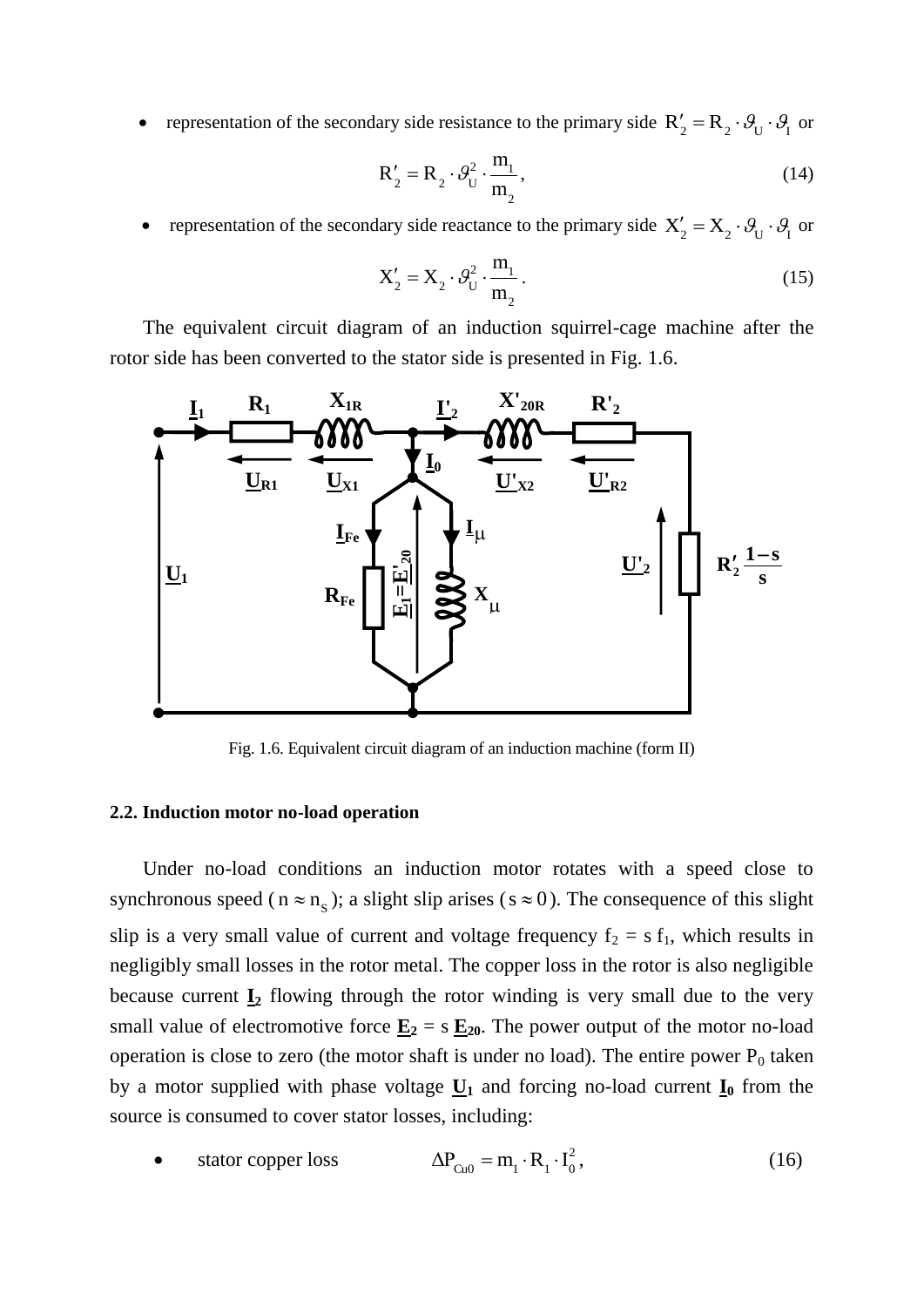• representation of the secondary side resistance to the primary side  $R'_2 = R_2 \cdot \theta_U \cdot \theta_I$  or

$$
\mathbf{R}'_2 = \mathbf{R}_2 \cdot \mathcal{G}_U^2 \cdot \frac{\mathbf{m}_1}{\mathbf{m}_2},\tag{14}
$$

• representation of the secondary side reactance to the primary side  $X'_2 = X_2 \cdot \theta_U \cdot \theta_I$  or

$$
X'_2 = X_2 \cdot \theta_U^2 \cdot \frac{m_1}{m_2} \,. \tag{15}
$$

The equivalent circuit diagram of an induction squirrel-cage machine after the rotor side has been converted to the stator side is presented in Fig. 1.6.



Fig. 1.6. Equivalent circuit diagram of an induction machine (form II)

## **2.2. Induction motor no-load operation**

Under no-load conditions an induction motor rotates with a speed close to synchronous speed ( $n \approx n_s$ ); a slight slip arises ( $s \approx 0$ ). The consequence of this slight slip is a very small value of current and voltage frequency  $f_2 = s f_1$ , which results in negligibly small losses in the rotor metal. The copper loss in the rotor is also negligible because current  $I_2$  flowing through the rotor winding is very small due to the very small value of electromotive force  $\underline{\mathbf{E}}_2 = s \underline{\mathbf{E}}_{20}$ . The power output of the motor no-load operation is close to zero (the motor shaft is under no load). The entire power  $P_0$  taken by a motor supplied with phase voltage  $\underline{U}_1$  and forcing no-load current  $\underline{I}_0$  from the source is consumed to cover stator losses, including:

• 
$$
\text{stator copper loss}
$$
  $\Delta P_{Cu0} = m_1 \cdot R_1 \cdot I_0^2,$  (16)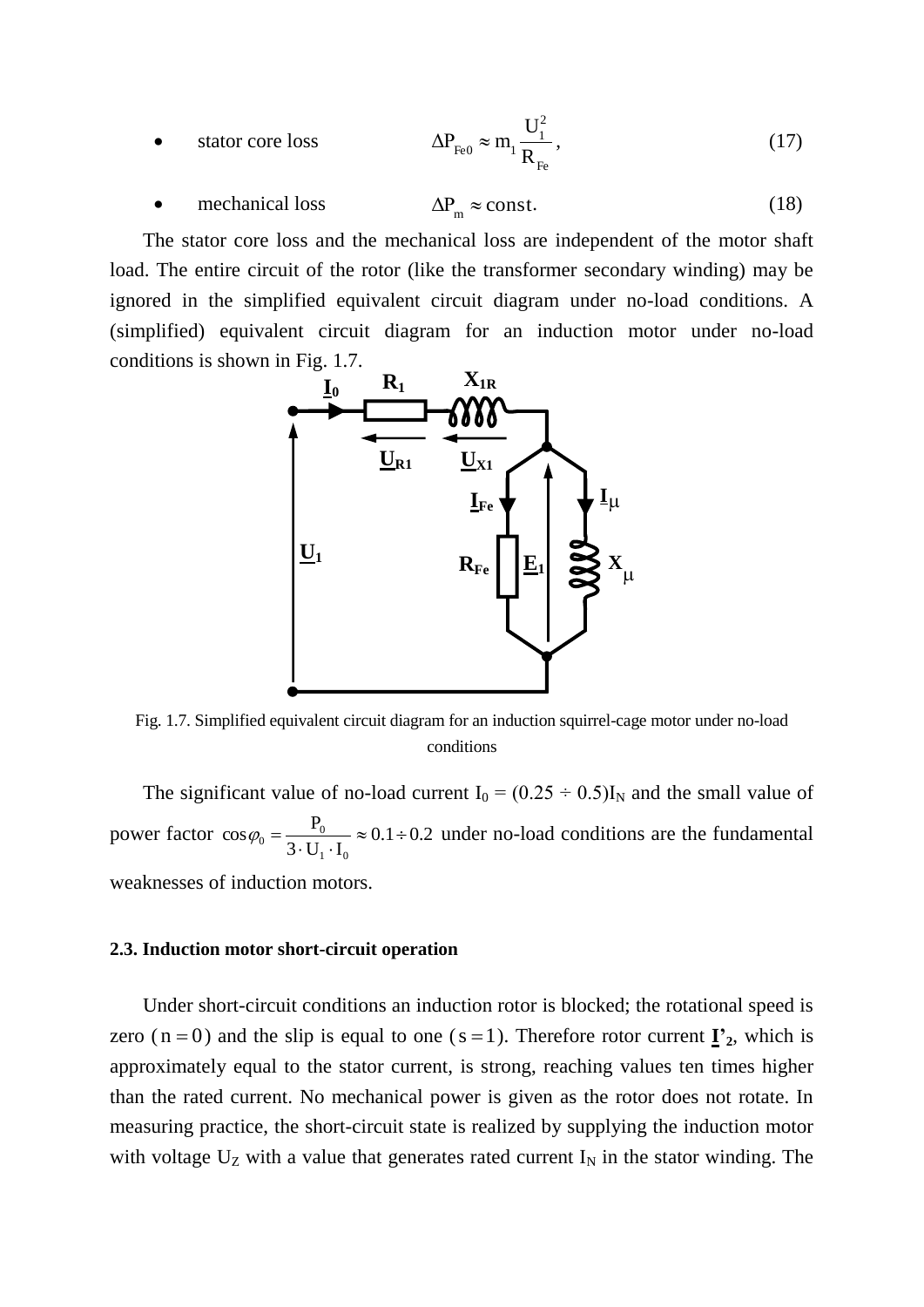• 
$$
\text{star core loss}
$$
  $\Delta P_{\text{Fe0}} \approx m_1 \frac{U_1^2}{R_{\text{Fe}}},$  (17)

 mechanical loss  $\Delta P_m \approx \text{const.}$  (18)

The stator core loss and the mechanical loss are independent of the motor shaft load. The entire circuit of the rotor (like the transformer secondary winding) may be ignored in the simplified equivalent circuit diagram under no-load conditions. A (simplified) equivalent circuit diagram for an induction motor under no-load conditions is shown in Fig. 1.7.



Fig. 1.7. Simplified equivalent circuit diagram for an induction squirrel-cage motor under no-load conditions

The significant value of no-load current  $I_0 = (0.25 \div 0.5)I_N$  and the small value of power factor  $\cos\varphi_0 = \frac{10}{2 \text{ Hz}} \approx 0.1 \div 0.2$  $3 \cdot U_1 \cdot I$  $\cos \varphi_0 = \frac{P_0}{2\pi r}$  $1 \cdot \cdot \cdot 0$  $b_0 = \frac{1}{3 \cdot U_1 \cdot I_0} \approx 0.1 \div$  $\varphi_0 = \frac{1}{2 \pi r} \approx 0.1 \div 0.2$  under no-load conditions are the fundamental weaknesses of induction motors.

#### **2.3. Induction motor short-circuit operation**

Under short-circuit conditions an induction rotor is blocked; the rotational speed is zero ( $n = 0$ ) and the slip is equal to one ( $s = 1$ ). Therefore rotor current  $\mathbf{I}'_2$ , which is approximately equal to the stator current, is strong, reaching values ten times higher than the rated current. No mechanical power is given as the rotor does not rotate. In measuring practice, the short-circuit state is realized by supplying the induction motor with voltage  $U_Z$  with a value that generates rated current  $I_N$  in the stator winding. The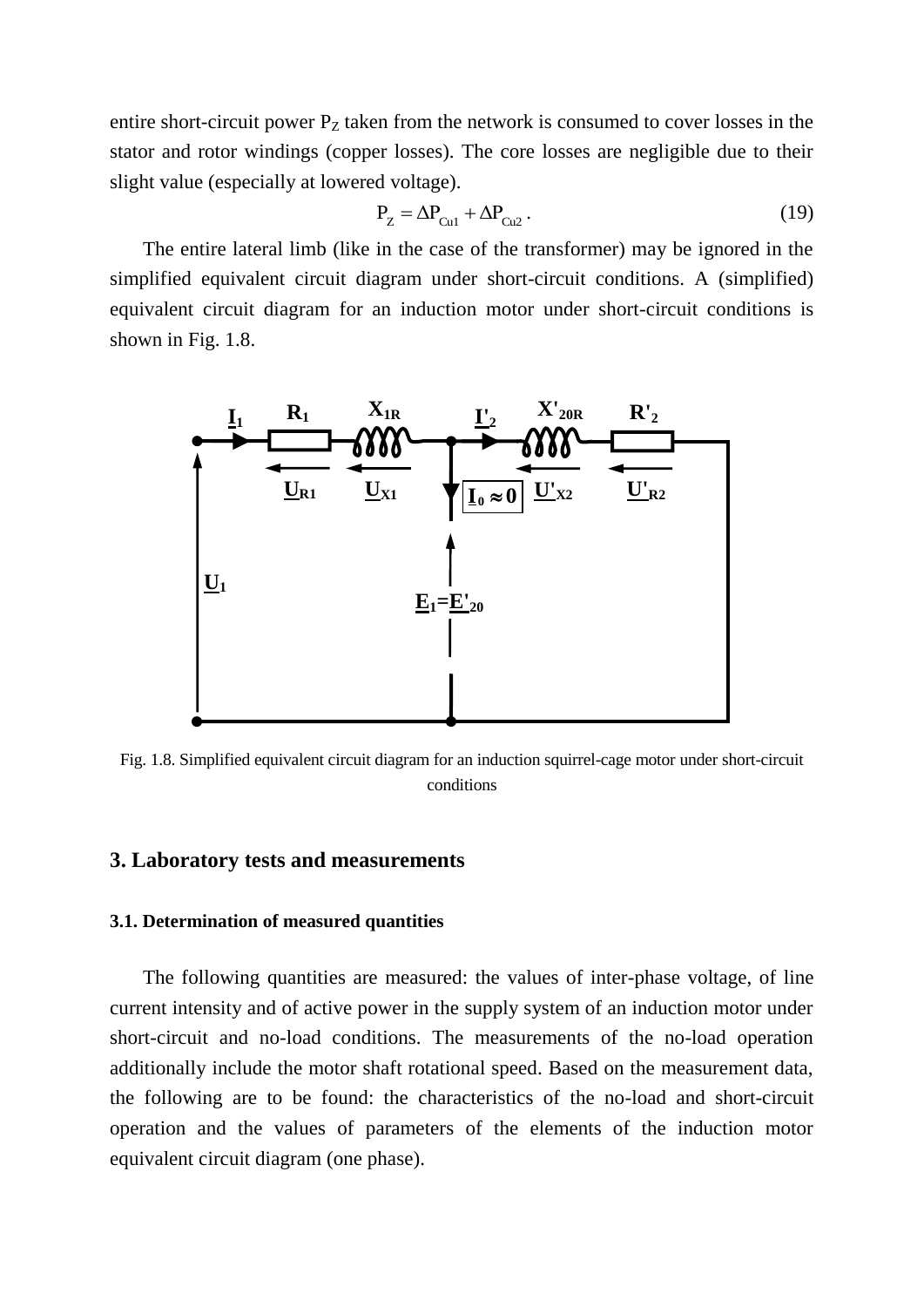entire short-circuit power  $P<sub>Z</sub>$  taken from the network is consumed to cover losses in the stator and rotor windings (copper losses). The core losses are negligible due to their slight value (especially at lowered voltage).

$$
P_Z = \Delta P_{Cu1} + \Delta P_{Cu2} \,. \tag{19}
$$

The entire lateral limb (like in the case of the transformer) may be ignored in the simplified equivalent circuit diagram under short-circuit conditions. A (simplified) equivalent circuit diagram for an induction motor under short-circuit conditions is shown in Fig. 1.8.



Fig. 1.8. Simplified equivalent circuit diagram for an induction squirrel-cage motor under short-circuit conditions

#### **3. Laboratory tests and measurements**

#### **3.1. Determination of measured quantities**

The following quantities are measured: the values of inter-phase voltage, of line current intensity and of active power in the supply system of an induction motor under short-circuit and no-load conditions. The measurements of the no-load operation additionally include the motor shaft rotational speed. Based on the measurement data, the following are to be found: the characteristics of the no-load and short-circuit operation and the values of parameters of the elements of the induction motor equivalent circuit diagram (one phase).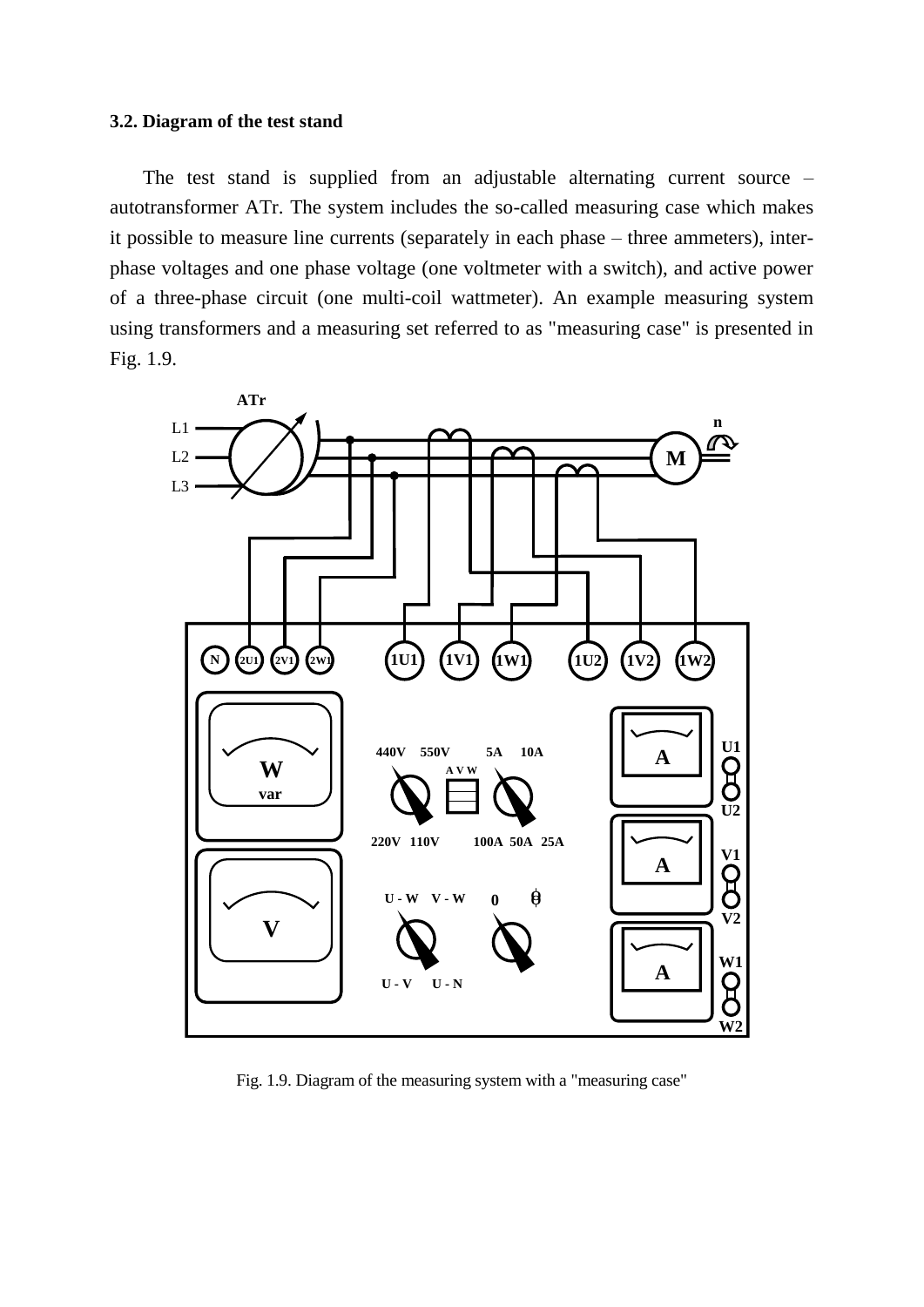#### **3.2. Diagram of the test stand**

The test stand is supplied from an adjustable alternating current source – autotransformer ATr. The system includes the so-called measuring case which makes it possible to measure line currents (separately in each phase – three ammeters), interphase voltages and one phase voltage (one voltmeter with a switch), and active power of a three-phase circuit (one multi-coil wattmeter). An example measuring system using transformers and a measuring set referred to as "measuring case" is presented in Fig. 1.9.



Fig. 1.9. Diagram of the measuring system with a "measuring case"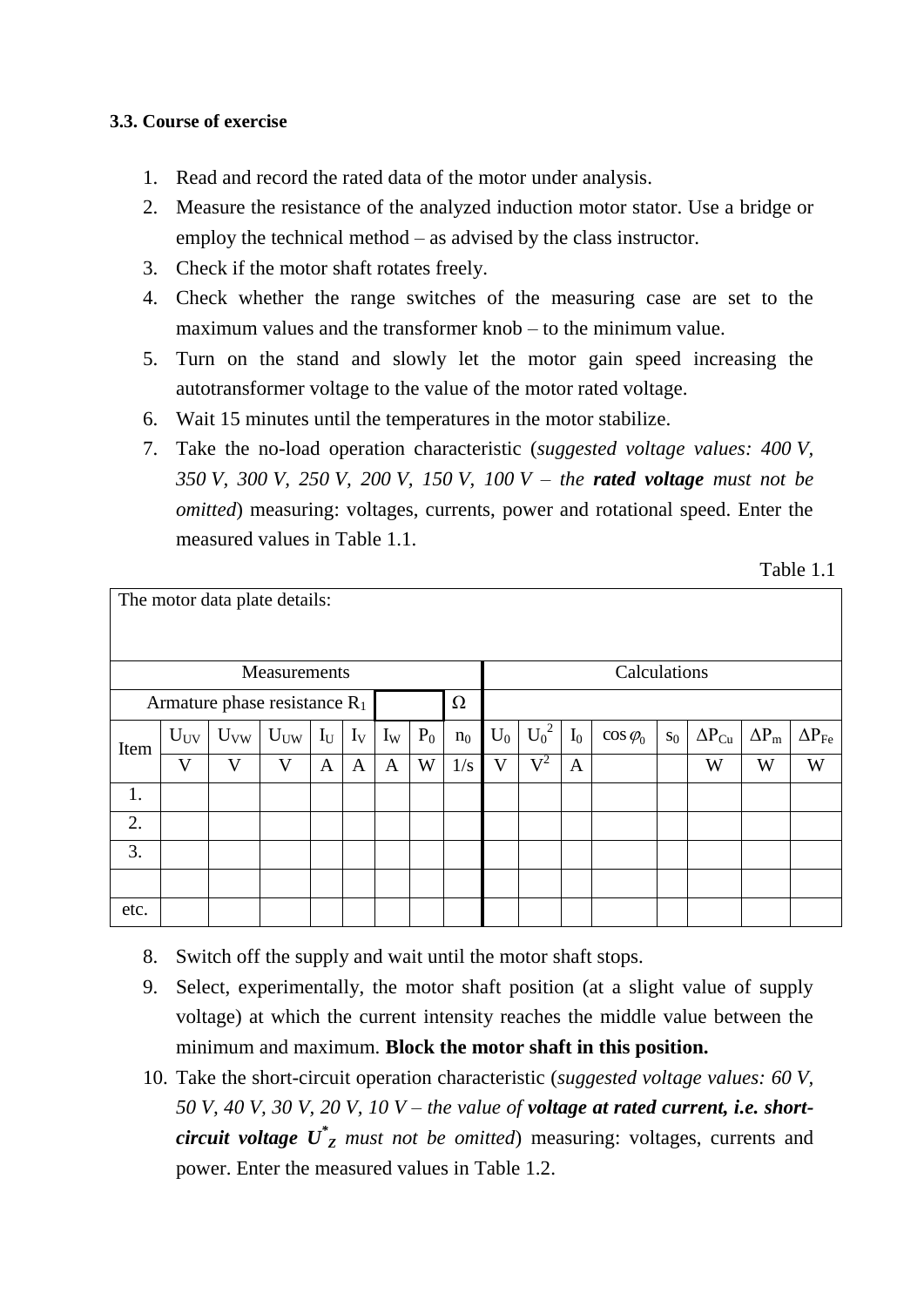## **3.3. Course of exercise**

- 1. Read and record the rated data of the motor under analysis.
- 2. Measure the resistance of the analyzed induction motor stator. Use a bridge or employ the technical method – as advised by the class instructor.
- 3. Check if the motor shaft rotates freely.
- 4. Check whether the range switches of the measuring case are set to the maximum values and the transformer knob – to the minimum value.
- 5. Turn on the stand and slowly let the motor gain speed increasing the autotransformer voltage to the value of the motor rated voltage.
- 6. Wait 15 minutes until the temperatures in the motor stabilize.
- 7. Take the no-load operation characteristic (*suggested voltage values: 400 V, 350 V, 300 V, 250 V, 200 V, 150 V, 100 V – the rated voltage must not be omitted*) measuring: voltages, currents, power and rotational speed. Enter the measured values in Table 1.1.

| Table 1.1 |  |
|-----------|--|
|-----------|--|

| The motor data plate details:   |              |          |          |       |       |              |       |                |              |           |                |                  |         |                 |              |                     |  |
|---------------------------------|--------------|----------|----------|-------|-------|--------------|-------|----------------|--------------|-----------|----------------|------------------|---------|-----------------|--------------|---------------------|--|
| Measurements                    |              |          |          |       |       |              |       |                | Calculations |           |                |                  |         |                 |              |                     |  |
| Armature phase resistance $R_1$ |              |          |          |       |       |              |       | $\Omega$       |              |           |                |                  |         |                 |              |                     |  |
| Item                            | $U_{UV}$     | $U_{VW}$ | $U_{UW}$ | $I_U$ | $I_V$ | $I_{W}$      | $P_0$ | n <sub>0</sub> | $U_0$        | $U_0^2$   | $\mathbf{I}_0$ | $\cos \varphi_0$ | $S_{0}$ | $\Delta P_{Cu}$ | $\Delta P_m$ | $\Delta P_{\rm Fe}$ |  |
|                                 | $\mathbf{V}$ | V        | V        | A     | A     | $\mathbf{A}$ | W     | 1/s            | V            | $\rm V^2$ | $\mathbf{A}$   |                  |         | W               | W            | W                   |  |
| 1.                              |              |          |          |       |       |              |       |                |              |           |                |                  |         |                 |              |                     |  |
| 2.                              |              |          |          |       |       |              |       |                |              |           |                |                  |         |                 |              |                     |  |
| 3.                              |              |          |          |       |       |              |       |                |              |           |                |                  |         |                 |              |                     |  |
|                                 |              |          |          |       |       |              |       |                |              |           |                |                  |         |                 |              |                     |  |
| etc.                            |              |          |          |       |       |              |       |                |              |           |                |                  |         |                 |              |                     |  |

- 8. Switch off the supply and wait until the motor shaft stops.
- 9. Select, experimentally, the motor shaft position (at a slight value of supply voltage) at which the current intensity reaches the middle value between the minimum and maximum. **Block the motor shaft in this position.**
- 10. Take the short-circuit operation characteristic (*suggested voltage values: 60 V, 50 V, 40 V, 30 V, 20 V, 10 V* – *the value of voltage at rated current, i.e. shortcircuit voltage U\* <sup>Z</sup> must not be omitted*) measuring: voltages, currents and power. Enter the measured values in Table 1.2.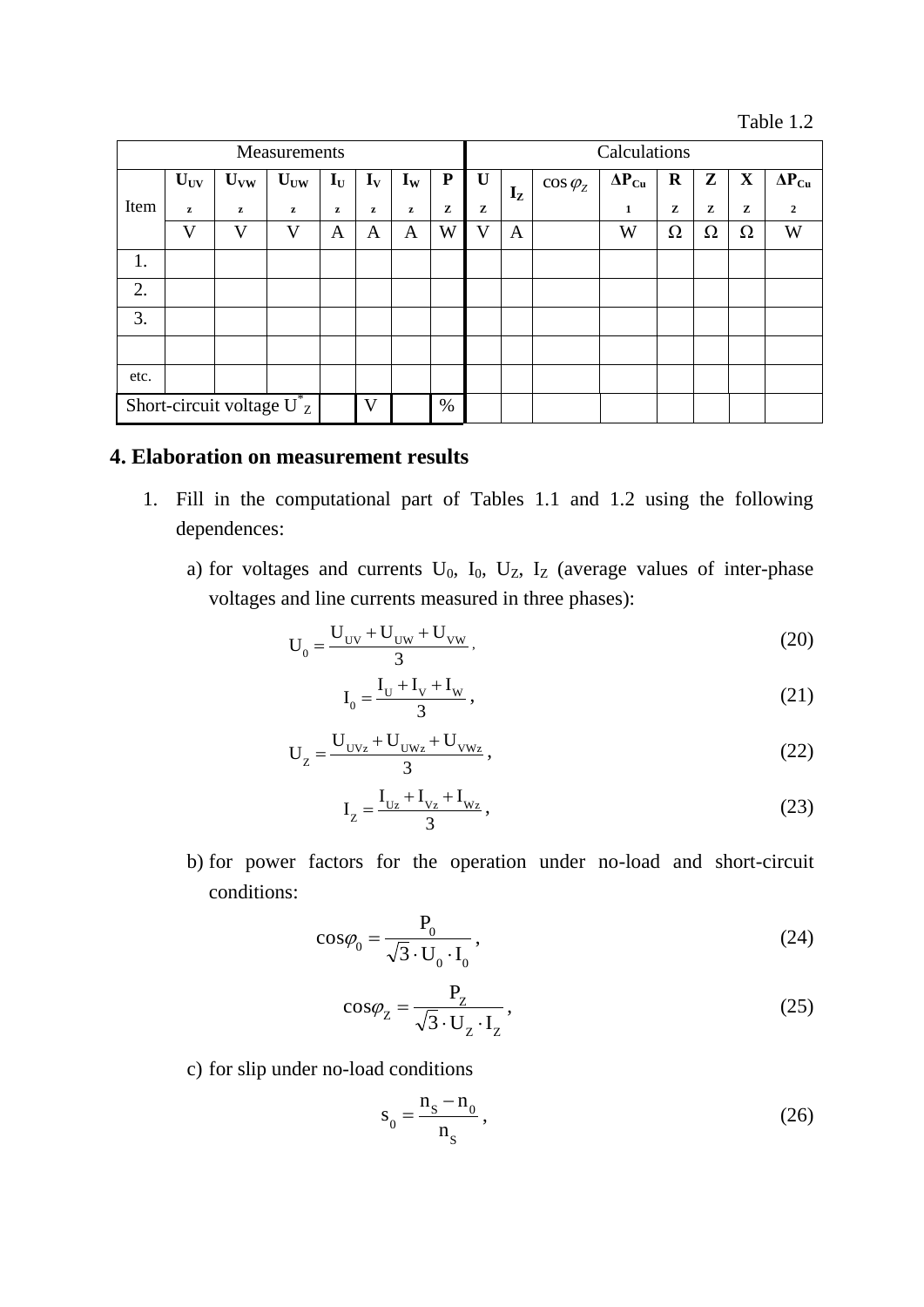Table 1.2

| Measurements                    |          |          |                 |                           |                           |                           |           | Calculations |         |                  |                 |         |   |             |                 |  |
|---------------------------------|----------|----------|-----------------|---------------------------|---------------------------|---------------------------|-----------|--------------|---------|------------------|-----------------|---------|---|-------------|-----------------|--|
|                                 | $U_{UV}$ | $U_{VW}$ | $U_{\text{UW}}$ | $\mathbf{I}_{\mathbf{U}}$ | $\mathbf{I}_{\mathbf{V}}$ | $\mathbf{I}_{\mathbf{W}}$ | ${\bf P}$ | U            | $I_{Z}$ | $\cos \varphi_z$ | $\Delta P_{Cu}$ | $\bf R$ | Z | $\mathbf X$ | $\Delta P_{Cu}$ |  |
| Item                            | z        | $\bf{z}$ | z               | z                         | z                         | z                         | z         | z            |         |                  | 1               | z       | z | z           | $\mathbf{2}$    |  |
|                                 | V        | V        | V               | A                         | A                         | A                         | W         | V            | A       |                  | W               | Ω       | Ω | Ω           | W               |  |
| 1.                              |          |          |                 |                           |                           |                           |           |              |         |                  |                 |         |   |             |                 |  |
| 2.                              |          |          |                 |                           |                           |                           |           |              |         |                  |                 |         |   |             |                 |  |
| 3.                              |          |          |                 |                           |                           |                           |           |              |         |                  |                 |         |   |             |                 |  |
|                                 |          |          |                 |                           |                           |                           |           |              |         |                  |                 |         |   |             |                 |  |
| etc.                            |          |          |                 |                           |                           |                           |           |              |         |                  |                 |         |   |             |                 |  |
| Short-circuit voltage $U_{Z}^*$ |          |          |                 |                           | V                         |                           | $\%$      |              |         |                  |                 |         |   |             |                 |  |

## **4. Elaboration on measurement results**

- 1. Fill in the computational part of Tables 1.1 and 1.2 using the following dependences:
	- a) for voltages and currents  $U_0$ ,  $I_0$ ,  $U_z$ ,  $I_z$  (average values of inter-phase voltages and line currents measured in three phases):

$$
U_0 = \frac{U_{UV} + U_{UW} + U_{VW}}{3},
$$
\n(20)

$$
I_0 = \frac{I_U + I_V + I_W}{3},
$$
\n(21)

$$
U_{Z} = \frac{U_{UVz} + U_{UWz} + U_{VWz}}{3},
$$
\n(22)

$$
I_{Z} = \frac{I_{Uz} + I_{Vz} + I_{Wz}}{3},
$$
\n(23)

b) for power factors for the operation under no-load and short-circuit conditions:

$$
\cos\varphi_0 = \frac{P_0}{\sqrt{3} \cdot U_0 \cdot I_0},\tag{24}
$$

$$
\cos\varphi_{Z} = \frac{P_{Z}}{\sqrt{3} \cdot U_{Z} \cdot I_{Z}},
$$
\n(25)

c) for slip under no-load conditions

$$
s_0 = \frac{n_s - n_0}{n_s},
$$
\n(26)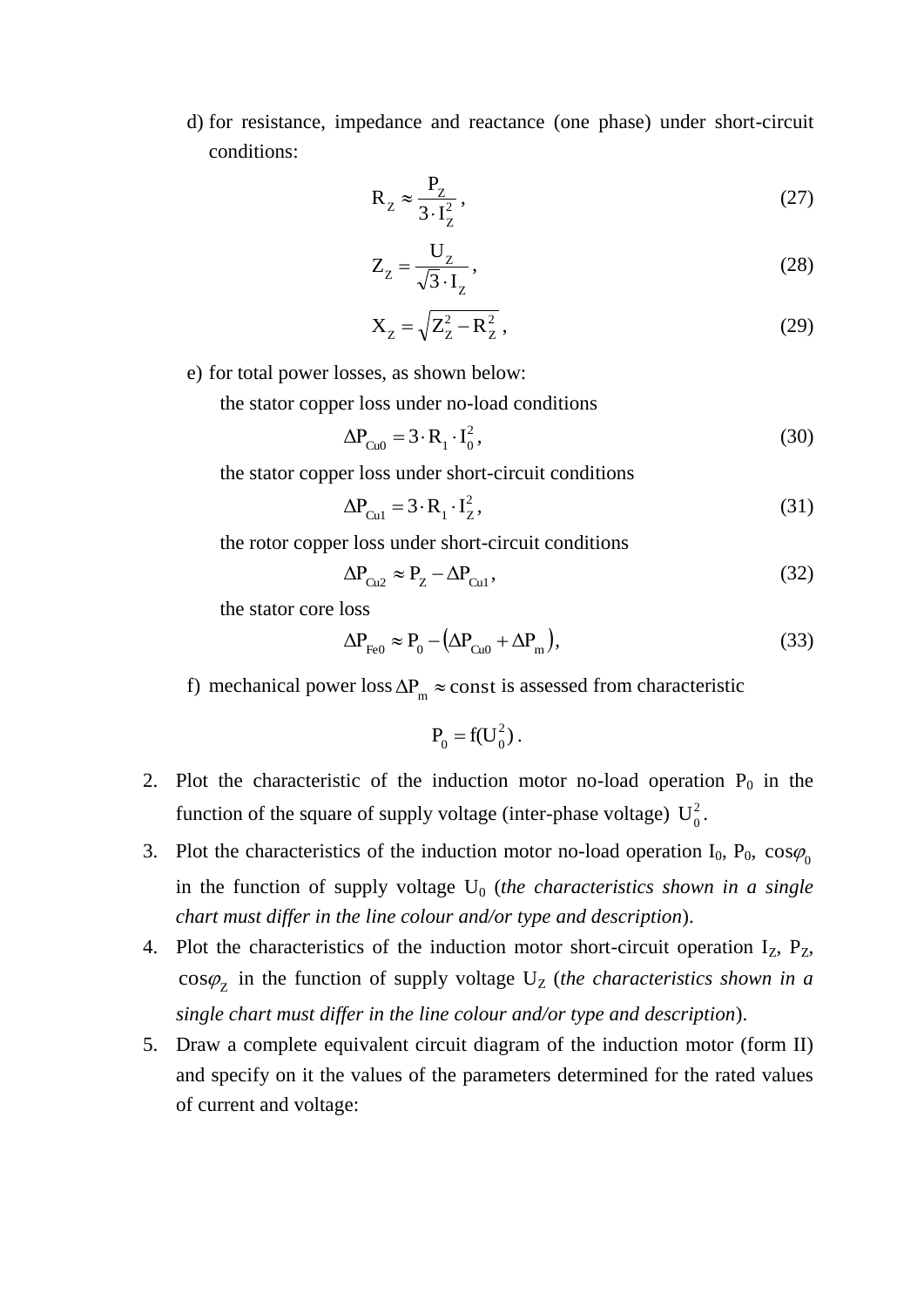d) for resistance, impedance and reactance (one phase) under short-circuit conditions:

$$
R_Z \approx \frac{P_Z}{3 \cdot I_Z^2},\tag{27}
$$

$$
Z_{Z} = \frac{U_{Z}}{\sqrt{3} \cdot I_{Z}},
$$
\n(28)

$$
X_{Z} = \sqrt{Z_{Z}^{2} - R_{Z}^{2}}\,,\tag{29}
$$

e) for total power losses, as shown below:

the stator copper loss under no-load conditions

$$
\Delta P_{Cu0} = 3 \cdot R_1 \cdot I_0^2, \qquad (30)
$$

the stator copper loss under short-circuit conditions

$$
\Delta P_{\text{Cu1}} = 3 \cdot R_1 \cdot I_Z^2,\tag{31}
$$

the rotor copper loss under short-circuit conditions

$$
\Delta P_{Cu2} \approx P_Z - \Delta P_{Cu1},\tag{32}
$$

the stator core loss

$$
\Delta P_{\text{Fe0}} \approx P_0 - (\Delta P_{\text{Cu0}} + \Delta P_{\text{m}}),\tag{33}
$$

f) mechanical power loss  $\Delta P_m \approx$  const is assessed from characteristic

$$
\mathbf{P}_0 = \mathbf{f}(\mathbf{U}_0^2) \,.
$$

- 2. Plot the characteristic of the induction motor no-load operation  $P_0$  in the function of the square of supply voltage (inter-phase voltage)  $U_0^2$ .
- 3. Plot the characteristics of the induction motor no-load operation  $I_0$ ,  $P_0$ ,  $\cos\varphi_0$ in the function of supply voltage U<sub>0</sub> (*the characteristics shown in a single chart must differ in the line colour and/or type and description*).
- 4. Plot the characteristics of the induction motor short-circuit operation  $I_z$ ,  $P_z$ ,  $cos\varphi$ <sub>z</sub> in the function of supply voltage  $U_z$  (*the characteristics shown in a single chart must differ in the line colour and/or type and description*).
- 5. Draw a complete equivalent circuit diagram of the induction motor (form II) and specify on it the values of the parameters determined for the rated values of current and voltage: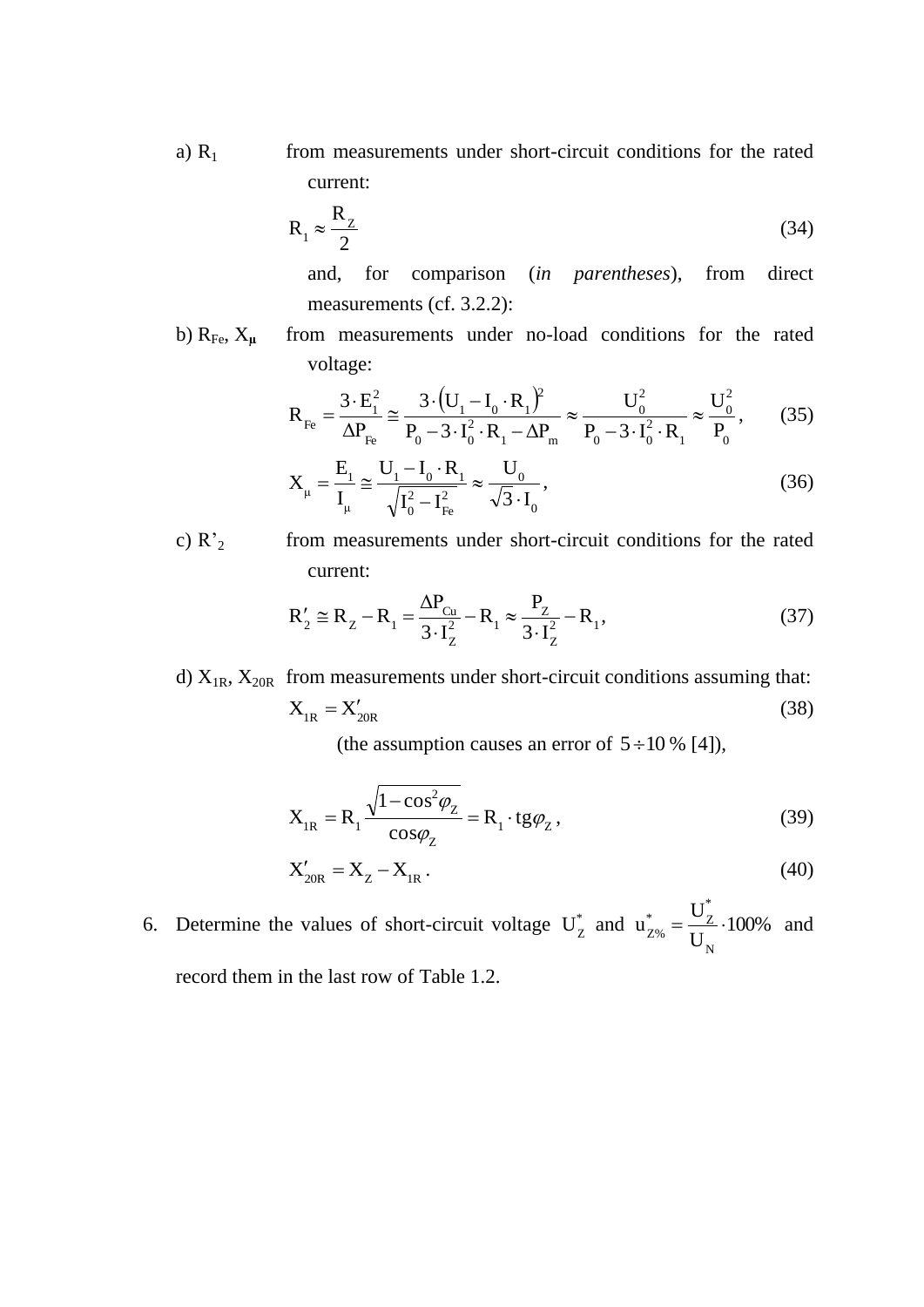a)  $R_1$  from measurements under short-circuit conditions for the rated current:

$$
R_1 \approx \frac{R_z}{2} \tag{34}
$$

and, for comparison (*in parentheses*), from direct measurements (cf. 3.2.2):

b)  $R_{Fe}$ ,  $X_{\mu}$  from measurements under no-load conditions for the rated voltage:

$$
R_{Fe} = \frac{3 \cdot E_1^2}{\Delta P_{Fe}} \approx \frac{3 \cdot (U_1 - I_0 \cdot R_1)^2}{P_0 - 3 \cdot I_0^2 \cdot R_1 - \Delta P_m} \approx \frac{U_0^2}{P_0 - 3 \cdot I_0^2 \cdot R_1} \approx \frac{U_0^2}{P_0},\qquad(35)
$$

$$
X_{\mu} = \frac{E_{1}}{I_{\mu}} \approx \frac{U_{1} - I_{0} \cdot R_{1}}{\sqrt{I_{0}^{2} - I_{Fe}^{2}}} \approx \frac{U_{0}}{\sqrt{3} \cdot I_{0}},
$$
\n(36)

c)  $R_2$  from measurements under short-circuit conditions for the rated current:

$$
R'_{2} \cong R_{Z} - R_{1} = \frac{\Delta P_{Cu}}{3 \cdot I_{Z}^{2}} - R_{1} \approx \frac{P_{Z}}{3 \cdot I_{Z}^{2}} - R_{1},
$$
\n(37)

d)  $X_{1R}$ ,  $X_{20R}$  from measurements under short-circuit conditions assuming that:  $X_{1R} = X'_{20R}$ (38)

(the assumption causes an error of  $5 \div 10\%$  [4]),

$$
X_{IR} = R_1 \frac{\sqrt{1 - \cos^2 \varphi_Z}}{\cos \varphi_Z} = R_1 \cdot \text{tg} \varphi_Z,
$$
\n(39)

$$
X'_{20R} = X_Z - X_{IR} \,. \tag{40}
$$

6. Determine the values of short-circuit voltage  $U_Z^*$  and  $u_{Z\%}^* = \frac{U_Z}{U} \cdot 100\%$ U U u N \*  $\sqrt{\phantom{a}}^*$   $\phantom{\phantom{\big|}}^{\phantom{*}}$  $Z_{Z\%}^* = \frac{Z}{I} \cdot 100\%$  and record them in the last row of Table 1.2.